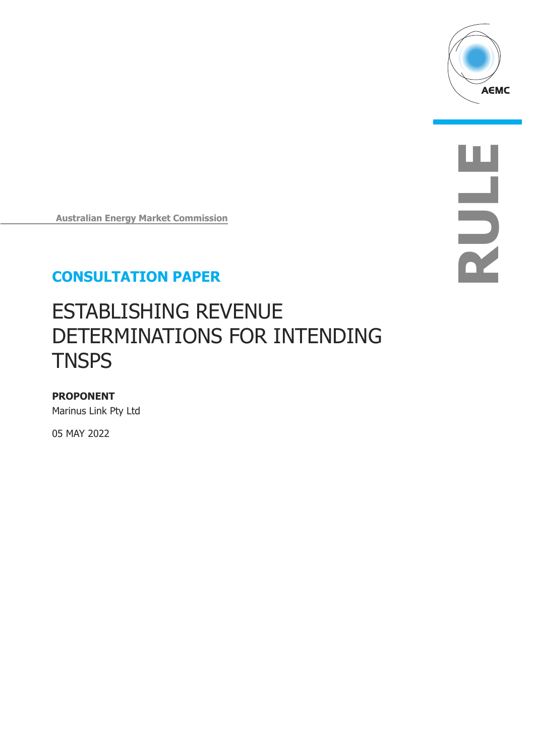

**RULE**

**Australian Energy Market Commission** 

## **CONSULTATION PAPER**

# ESTABLISHING REVENUE DETERMINATIONS FOR INTENDING **TNSPS**

#### **PROPONENT**

Marinus Link Pty Ltd

05 MAY 2022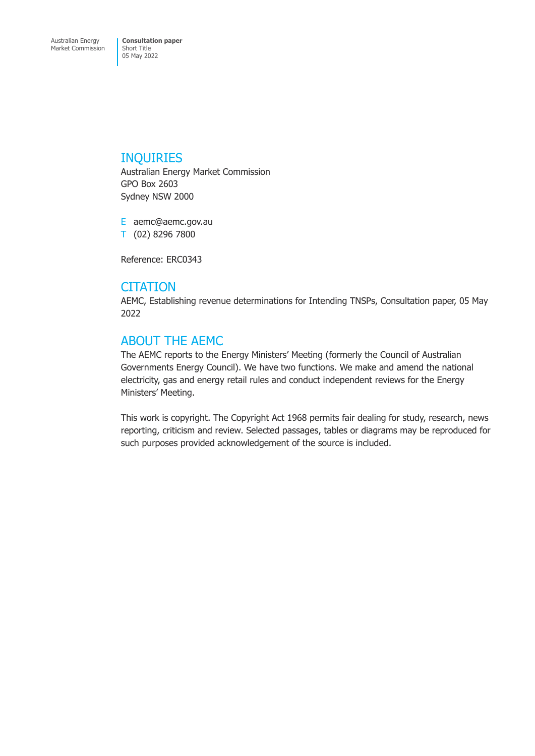#### INQUIRIES

Australian Energy Market Commission GPO Box 2603 Sydney NSW 2000

E aemc@aemc.gov.au T (02) 8296 7800

Reference: ERC0343

#### **CITATION**

AEMC, Establishing revenue determinations for Intending TNSPs, Consultation paper, 05 May 2022

## ABOUT THE AEMC

The AEMC reports to the Energy Ministers' Meeting (formerly the Council of Australian Governments Energy Council). We have two functions. We make and amend the national electricity, gas and energy retail rules and conduct independent reviews for the Energy Ministers' Meeting.

This work is copyright. The Copyright Act 1968 permits fair dealing for study, research, news reporting, criticism and review. Selected passages, tables or diagrams may be reproduced for such purposes provided acknowledgement of the source is included.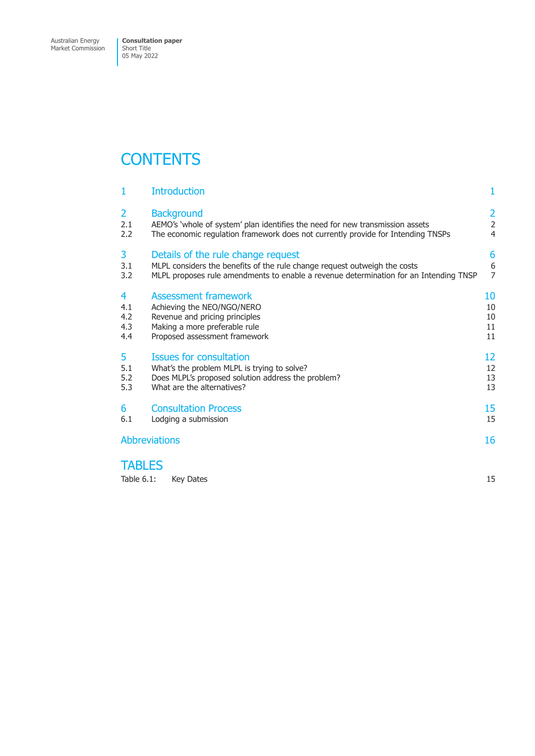Market Commission

# **CONTENTS**

| 1                    | <b>Introduction</b>                                                                   | 1              |
|----------------------|---------------------------------------------------------------------------------------|----------------|
| $\overline{2}$       | <b>Background</b>                                                                     | $\overline{2}$ |
| 2.1                  | AEMO's 'whole of system' plan identifies the need for new transmission assets         | $\overline{2}$ |
| 2.2                  | The economic regulation framework does not currently provide for Intending TNSPs      | $\overline{4}$ |
| 3                    | Details of the rule change request                                                    | 6              |
| 3.1                  | MLPL considers the benefits of the rule change request outweigh the costs             | 6              |
| 3.2                  | MLPL proposes rule amendments to enable a revenue determination for an Intending TNSP | $\overline{7}$ |
| 4                    | Assessment framework                                                                  | 10             |
| 4.1                  | Achieving the NEO/NGO/NERO                                                            | 10             |
| 4.2                  | Revenue and pricing principles                                                        | 10             |
| 4.3                  | Making a more preferable rule                                                         | 11             |
| 4.4                  | Proposed assessment framework                                                         | 11             |
| 5                    | <b>Issues for consultation</b>                                                        | 12             |
| 5.1                  | What's the problem MLPL is trying to solve?                                           | 12             |
| 5.2                  | Does MLPL's proposed solution address the problem?                                    | 13             |
| 5.3                  | What are the alternatives?                                                            | 13             |
| 6                    | <b>Consultation Process</b>                                                           | 15             |
| 6.1                  | Lodging a submission                                                                  | 15             |
| <b>Abbreviations</b> |                                                                                       |                |

#### **TABLES**

|  | Table 6.1: Key Dates |  |  |
|--|----------------------|--|--|
|--|----------------------|--|--|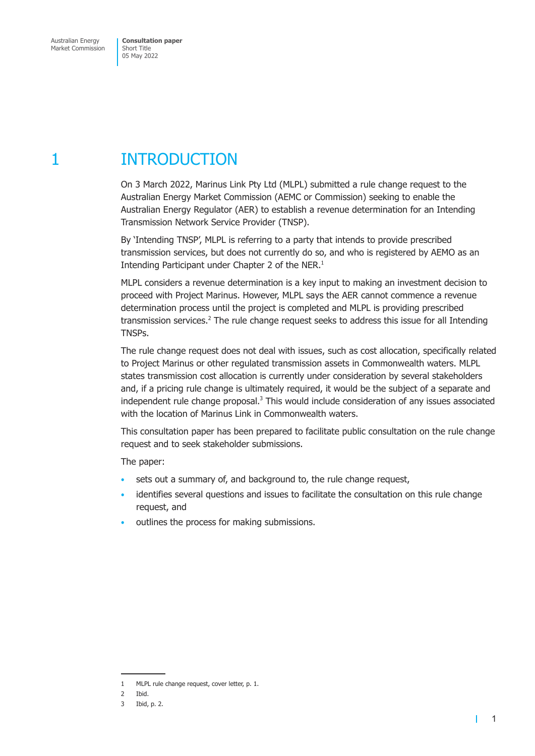# <span id="page-3-0"></span>1 INTRODUCTION

On 3 March 2022, Marinus Link Pty Ltd (MLPL) submitted a rule change request to the Australian Energy Market Commission (AEMC or Commission) seeking to enable the Australian Energy Regulator (AER) to establish a revenue determination for an Intending Transmission Network Service Provider (TNSP).

By 'Intending TNSP', MLPL is referring to a party that intends to provide prescribed transmission services, but does not currently do so, and who is registered by AEMO as an Intending Participant under Chapter 2 of the NER. $<sup>1</sup>$ </sup>

MLPL considers a revenue determination is a key input to making an investment decision to proceed with Project Marinus. However, MLPL says the AER cannot commence a revenue determination process until the project is completed and MLPL is providing prescribed transmission services.<sup>2</sup> The rule change request seeks to address this issue for all Intending TNSPs.

The rule change request does not deal with issues, such as cost allocation, specifically related to Project Marinus or other regulated transmission assets in Commonwealth waters. MLPL states transmission cost allocation is currently under consideration by several stakeholders and, if a pricing rule change is ultimately required, it would be the subject of a separate and independent rule change proposal.<sup>3</sup> This would include consideration of any issues associated with the location of Marinus Link in Commonwealth waters.

This consultation paper has been prepared to facilitate public consultation on the rule change request and to seek stakeholder submissions.

The paper:

- sets out a summary of, and background to, the rule change request,
- identifies several questions and issues to facilitate the consultation on this rule change request, and
- outlines the process for making submissions.

т

<sup>1</sup> MLPL rule change request, cover letter, p. 1.

<sup>2</sup> Ibid.

<sup>3</sup> Ibid, p. 2.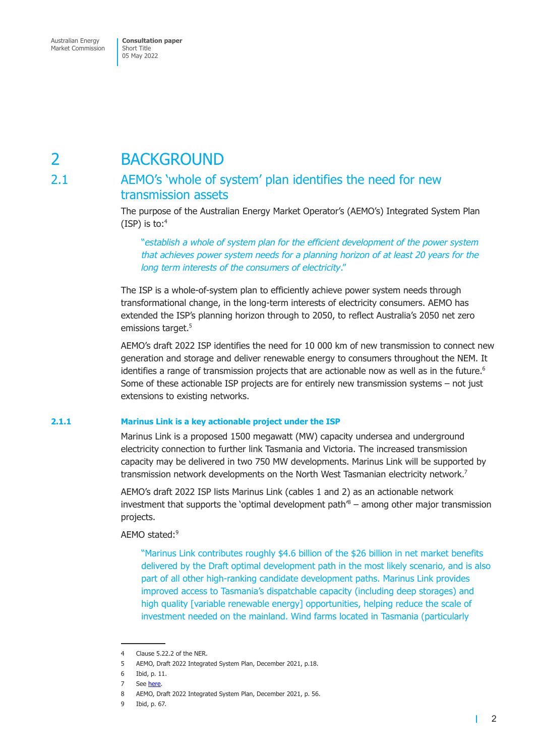<span id="page-4-0"></span>Market Commission

Short Title 05 May 2022

# 2 BACKGROUND

#### 2.1 AEMO's 'whole of system' plan identifies the need for new transmission assets

The purpose of the Australian Energy Market Operator's (AEMO's) Integrated System Plan (ISP) is to: $4$ 

"*establish a whole of system plan for the efficient development of the power system that achieves power system needs for a planning horizon of at least 20 years for the long term interests of the consumers of electricity*."

The ISP is a whole-of-system plan to efficiently achieve power system needs through transformational change, in the long-term interests of electricity consumers. AEMO has extended the ISP's planning horizon through to 2050, to reflect Australia's 2050 net zero emissions target.<sup>5</sup>

AEMO's draft 2022 ISP identifies the need for 10 000 km of new transmission to connect new generation and storage and deliver renewable energy to consumers throughout the NEM. It identifies a range of transmission projects that are actionable now as well as in the future.<sup>6</sup> Some of these actionable ISP projects are for entirely new transmission systems – not just extensions to existing networks.

#### **2.1.1 Marinus Link is a key actionable project under the ISP**

Marinus Link is a proposed 1500 megawatt (MW) capacity undersea and underground electricity connection to further link Tasmania and Victoria. The increased transmission capacity may be delivered in two 750 MW developments. Marinus Link will be supported by transmission network developments on the North West Tasmanian electricity network.<sup>7</sup>

AEMO's draft 2022 ISP lists Marinus Link (cables 1 and 2) as an actionable network investment that supports the 'optimal development path' $8$  – among other major transmission projects.

AEMO stated:9

"Marinus Link contributes roughly \$4.6 billion of the \$26 billion in net market benefits delivered by the Draft optimal development path in the most likely scenario, and is also part of all other high-ranking candidate development paths. Marinus Link provides improved access to Tasmania's dispatchable capacity (including deep storages) and high quality [variable renewable energy] opportunities, helping reduce the scale of investment needed on the mainland. Wind farms located in Tasmania (particularly

 $\mathbf{I}$ 

<sup>4</sup> Clause 5.22.2 of the NER.

<sup>5</sup> AEMO, Draft 2022 Integrated System Plan, December 2021, p.18.

<sup>6</sup> Ibid, p. 11.

See here.

<sup>8</sup> AEMO, Draft 2022 Integrated System Plan, December 2021, p. 56.

<sup>9</sup> Ibid, p. 67.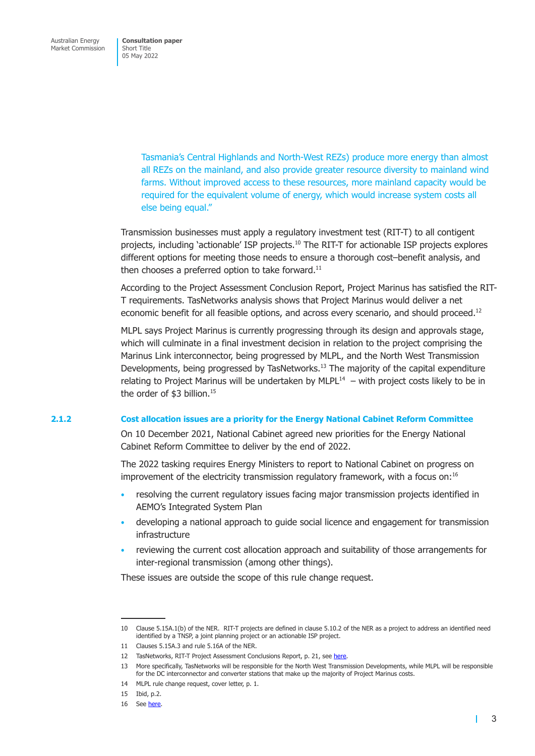Tasmania's Central Highlands and North-West REZs) produce more energy than almost all REZs on the mainland, and also provide greater resource diversity to mainland wind farms. Without improved access to these resources, more mainland capacity would be required for the equivalent volume of energy, which would increase system costs all else being equal."

Transmission businesses must apply a regulatory investment test (RIT-T) to all contigent projects, including 'actionable' ISP projects.10 The RIT-T for actionable ISP projects explores different options for meeting those needs to ensure a thorough cost–benefit analysis, and then chooses a preferred option to take forward. $^{11}$ 

According to the Project Assessment Conclusion Report, Project Marinus has satisfied the RIT-T requirements. TasNetworks analysis shows that Project Marinus would deliver a net economic benefit for all feasible options, and across every scenario, and should proceed.<sup>12</sup>

MLPL says Project Marinus is currently progressing through its design and approvals stage, which will culminate in a final investment decision in relation to the project comprising the Marinus Link interconnector, being progressed by MLPL, and the North West Transmission Developments, being progressed by TasNetworks.<sup>13</sup> The majority of the capital expenditure relating to Project Marinus will be undertaken by MLPL $^{14}$  – with project costs likely to be in the order of \$3 billion.<sup>15</sup>

#### **2.1.2 Cost allocation issues are a priority for the Energy National Cabinet Reform Committee**

On 10 December 2021, National Cabinet agreed new priorities for the Energy National Cabinet Reform Committee to deliver by the end of 2022.

The 2022 tasking requires Energy Ministers to report to National Cabinet on progress on improvement of the electricity transmission regulatory framework, with a focus on:16

- resolving the current regulatory issues facing major transmission projects identified in AEMO's Integrated System Plan
- developing a national approach to guide social licence and engagement for transmission infrastructure
- reviewing the current cost allocation approach and suitability of those arrangements for inter-regional transmission (among other things).

These issues are outside the scope of this rule change request.

П

<sup>10</sup> Clause 5.15A.1(b) of the NER. RIT-T projects are defined in clause 5.10.2 of the NER as a project to address an identified need identified by a TNSP, a joint planning project or an actionable ISP project.

<sup>11</sup> Clauses 5.15A.3 and rule 5.16A of the NER.

<sup>12</sup> TasNetworks, RIT-T Project Assessment Conclusions Report, p. 21, see here.

<sup>13</sup> More specifically, TasNetworks will be responsible for the North West Transmission Developments, while MLPL will be responsible for the DC interconnector and converter stations that make up the majority of Project Marinus costs.

<sup>14</sup> MLPL rule change request, cover letter, p. 1.

<sup>15</sup> Ibid, p.2.

<sup>16</sup> See here.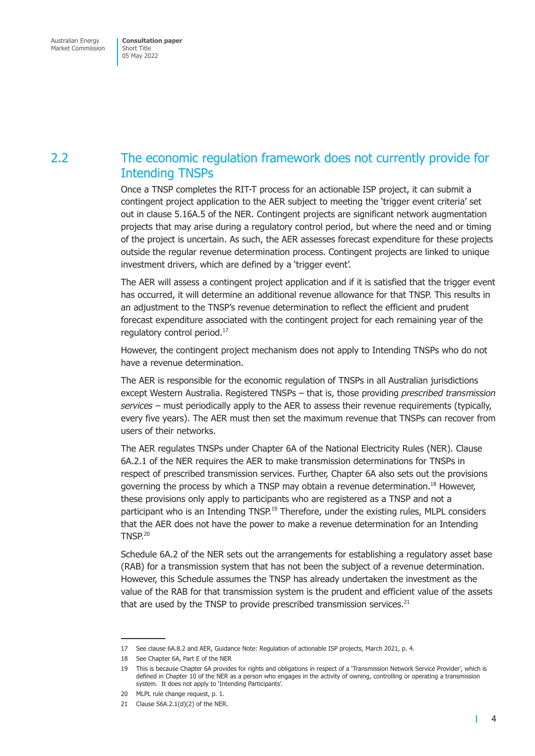## <span id="page-6-0"></span>2.2 The economic regulation framework does not currently provide for Intending TNSPs

Once a TNSP completes the RIT-T process for an actionable ISP project, it can submit a contingent project application to the AER subject to meeting the 'trigger event criteria' set out in clause 5.16A.5 of the NER. Contingent projects are significant network augmentation projects that may arise during a regulatory control period, but where the need and or timing of the project is uncertain. As such, the AER assesses forecast expenditure for these projects outside the regular revenue determination process. Contingent projects are linked to unique investment drivers, which are defined by a 'trigger event'.

The AER will assess a contingent project application and if it is satisfied that the trigger event has occurred, it will determine an additional revenue allowance for that TNSP. This results in an adjustment to the TNSP's revenue determination to reflect the efficient and prudent forecast expenditure associated with the contingent project for each remaining year of the regulatory control period.<sup>17</sup>

However, the contingent project mechanism does not apply to Intending TNSPs who do not have a revenue determination.

The AER is responsible for the economic regulation of TNSPs in all Australian jurisdictions except Western Australia. Registered TNSPs – that is, those providing *prescribed transmission services* – must periodically apply to the AER to assess their revenue requirements (typically, every five years). The AER must then set the maximum revenue that TNSPs can recover from users of their networks.

The AER regulates TNSPs under Chapter 6A of the National Electricity Rules (NER). Clause 6A.2.1 of the NER requires the AER to make transmission determinations for TNSPs in respect of prescribed transmission services. Further, Chapter 6A also sets out the provisions governing the process by which a TNSP may obtain a revenue determination.18 However, these provisions only apply to participants who are registered as a TNSP and not a participant who is an Intending  $TNSP^{19}$  Therefore, under the existing rules, MLPL considers that the AER does not have the power to make a revenue determination for an Intending TNSP.<sup>20</sup>

Schedule 6A.2 of the NER sets out the arrangements for establishing a regulatory asset base (RAB) for a transmission system that has not been the subject of a revenue determination. However, this Schedule assumes the TNSP has already undertaken the investment as the value of the RAB for that transmission system is the prudent and efficient value of the assets that are used by the TNSP to provide prescribed transmission services. $21$ 

 $\mathbf{I}$ 

<sup>17</sup> See clause 6A.8.2 and AER, Guidance Note: Regulation of actionable ISP projects, March 2021, p. 4.

<sup>18</sup> See Chapter 6A, Part E of the NER

<sup>19</sup> This is because Chapter 6A provides for rights and obligations in respect of a 'Transmission Network Service Provider', which is defined in Chapter 10 of the NER as a person who engages in the activity of owning, controlling or operating a transmission system. It does not apply to 'Intending Participants'.

<sup>20</sup> MLPL rule change request, p. 1.

<sup>21</sup> Clause S6A.2.1(d)(2) of the NER.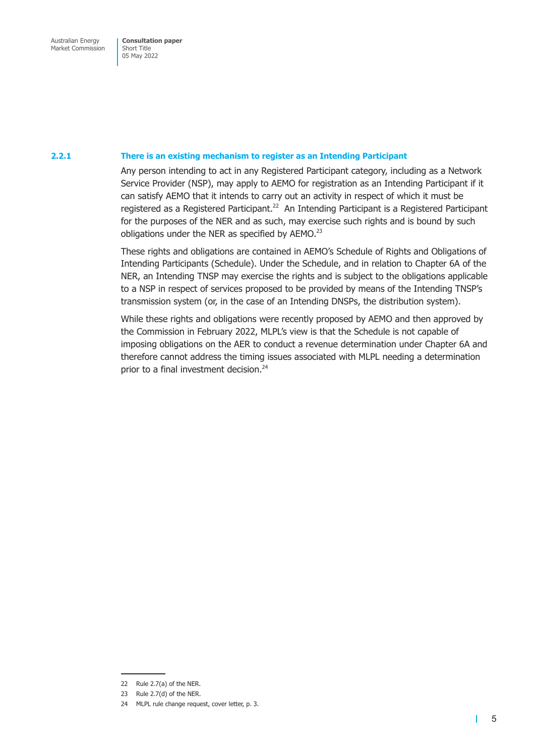#### **2.2.1 There is an existing mechanism to register as an Intending Participant**

Any person intending to act in any Registered Participant category, including as a Network Service Provider (NSP), may apply to AEMO for registration as an Intending Participant if it can satisfy AEMO that it intends to carry out an activity in respect of which it must be registered as a Registered Participant.<sup>22</sup> An Intending Participant is a Registered Participant for the purposes of the NER and as such, may exercise such rights and is bound by such obligations under the NER as specified by  $AEMO.<sup>23</sup>$ 

These rights and obligations are contained in AEMO's Schedule of Rights and Obligations of Intending Participants (Schedule). Under the Schedule, and in relation to Chapter 6A of the NER, an Intending TNSP may exercise the rights and is subject to the obligations applicable to a NSP in respect of services proposed to be provided by means of the Intending TNSP's transmission system (or, in the case of an Intending DNSPs, the distribution system).

While these rights and obligations were recently proposed by AEMO and then approved by the Commission in February 2022, MLPL's view is that the Schedule is not capable of imposing obligations on the AER to conduct a revenue determination under Chapter 6A and therefore cannot address the timing issues associated with MLPL needing a determination prior to a final investment decision.<sup>24</sup>

т

<sup>22</sup> Rule 2.7(a) of the NER.

<sup>23</sup> Rule 2.7(d) of the NER.

<sup>24</sup> MLPL rule change request, cover letter, p. 3.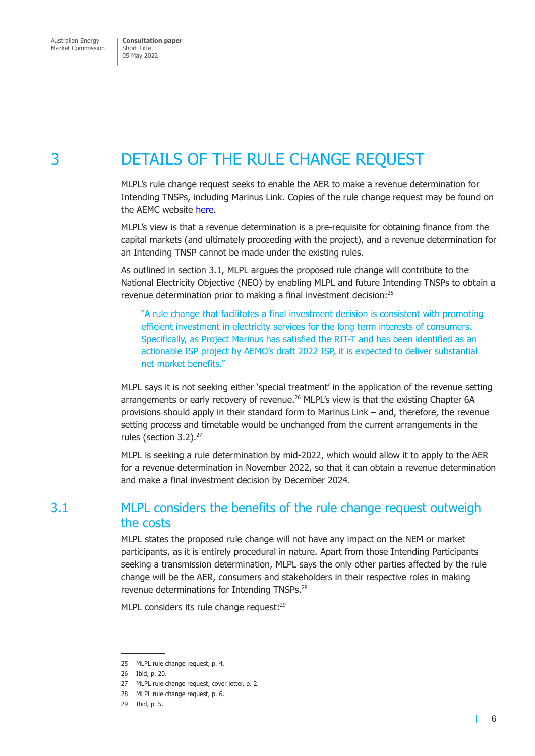<span id="page-8-0"></span>Market Commission

Short Title 05 May 2022

# 3 DETAILS OF THE RULE CHANGE REQUEST

MLPL's rule change request seeks to enable the AER to make a revenue determination for Intending TNSPs, including Marinus Link. Copies of the rule change request may be found on the AEMC website here.

MLPL's view is that a revenue determination is a pre-requisite for obtaining finance from the capital markets (and ultimately proceeding with the project), and a revenue determination for an Intending TNS[P cann](https://www.aemc.gov.au/rule-changes/establishing-revenue-determinations-intending-tnsps)ot be made under the existing rules.

As outlined in section 3.1, MLPL argues the proposed rule change will contribute to the National Electricity Objective (NEO) by enabling MLPL and future Intending TNSPs to obtain a revenue determination prior to making a final investment decision:<sup>25</sup>

"A rule change that facilitates a final investment decision is consistent with promoting efficient investment in electricity services for the long term interests of consumers. Specifically, as Project Marinus has satisfied the RIT-T and has been identified as an actionable ISP project by AEMO's draft 2022 ISP, it is expected to deliver substantial net market benefits."

MLPL says it is not seeking either 'special treatment' in the application of the revenue setting arrangements or early recovery of revenue.<sup>26</sup> MLPL's view is that the existing Chapter 6A provisions should apply in their standard form to Marinus Link – and, therefore, the revenue setting process and timetable would be unchanged from the current arrangements in the rules (section  $3.2$ ).<sup>27</sup>

MLPL is seeking a rule determination by mid-2022, which would allow it to apply to the AER for a revenue determination in November 2022, so that it can obtain a revenue determination and make a final investment decision by December 2024.

## 3.1 MLPL considers the benefits of the rule change request outweigh the costs

MLPL states the proposed rule change will not have any impact on the NEM or market participants, as it is entirely procedural in nature. Apart from those Intending Participants seeking a transmission determination, MLPL says the only other parties affected by the rule change will be the AER, consumers and stakeholders in their respective roles in making revenue determinations for Intending TNSPs.<sup>28</sup>

MLPL considers its rule change request:<sup>29</sup>

 $\mathbf{I}$ 

<sup>25</sup> MLPL rule change request, p. 4.

<sup>26</sup> Ibid, p. 20.

<sup>27</sup> MLPL rule change request, cover letter, p. 2.

<sup>28</sup> MLPL rule change request, p. 6.

<sup>29</sup> Ibid, p. 5.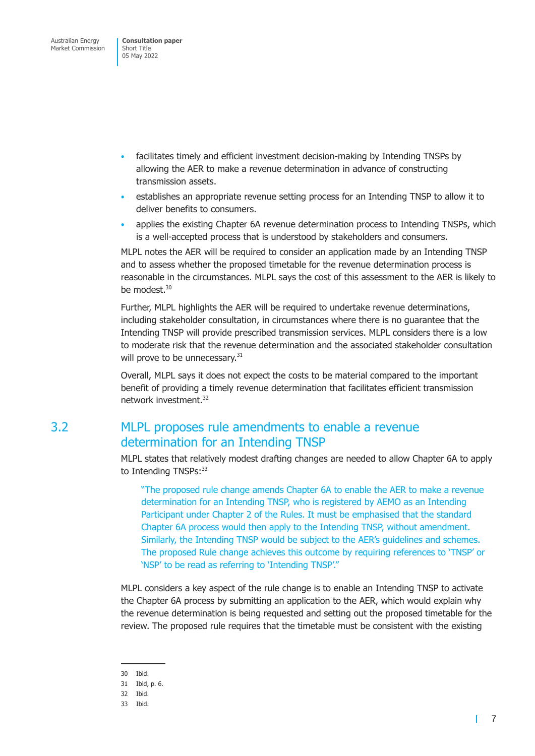- <span id="page-9-0"></span>• facilitates timely and efficient investment decision-making by Intending TNSPs by allowing the AER to make a revenue determination in advance of constructing transmission assets.
- establishes an appropriate revenue setting process for an Intending TNSP to allow it to deliver benefits to consumers.
- applies the existing Chapter 6A revenue determination process to Intending TNSPs, which is a well-accepted process that is understood by stakeholders and consumers.

MLPL notes the AER will be required to consider an application made by an Intending TNSP and to assess whether the proposed timetable for the revenue determination process is reasonable in the circumstances. MLPL says the cost of this assessment to the AER is likely to be modest.<sup>30</sup>

Further, MLPL highlights the AER will be required to undertake revenue determinations, including stakeholder consultation, in circumstances where there is no guarantee that the Intending TNSP will provide prescribed transmission services. MLPL considers there is a low to moderate risk that the revenue determination and the associated stakeholder consultation will prove to be unnecessary.<sup>31</sup>

Overall, MLPL says it does not expect the costs to be material compared to the important benefit of providing a timely revenue determination that facilitates efficient transmission network investment.32

## 3.2 MLPL proposes rule amendments to enable a revenue determination for an Intending TNSP

MLPL states that relatively modest drafting changes are needed to allow Chapter 6A to apply to Intending TNSPs: 33

"The proposed rule change amends Chapter 6A to enable the AER to make a revenue determination for an Intending TNSP, who is registered by AEMO as an Intending Participant under Chapter 2 of the Rules. It must be emphasised that the standard Chapter 6A process would then apply to the Intending TNSP, without amendment. Similarly, the Intending TNSP would be subject to the AER's guidelines and schemes. The proposed Rule change achieves this outcome by requiring references to 'TNSP' or 'NSP' to be read as referring to 'Intending TNSP'."

MLPL considers a key aspect of the rule change is to enable an Intending TNSP to activate the Chapter 6A process by submitting an application to the AER, which would explain why the revenue determination is being requested and setting out the proposed timetable for the review. The proposed rule requires that the timetable must be consistent with the existing

30 Ibid.

33 Ibid.

<span id="page-9-1"></span> $\mathbf{L}$ 

<sup>31</sup> Ibid, p. 6.

<sup>32</sup> Ibid.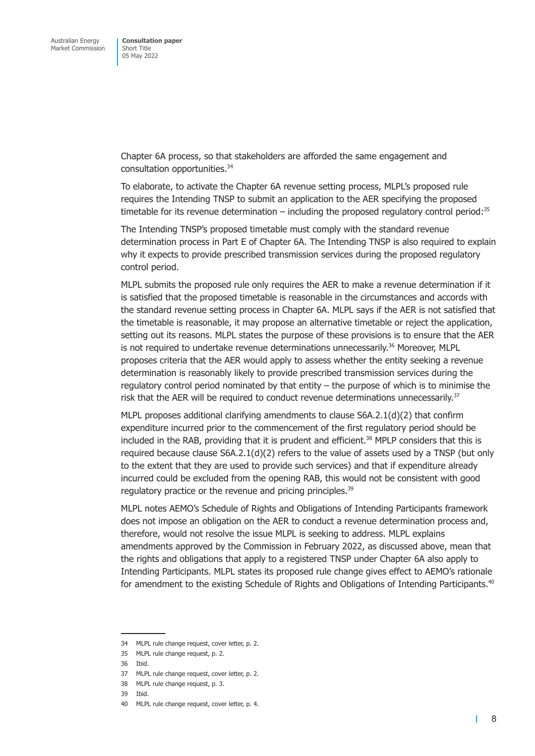Chapter 6A process, so that stakeholders are afforded the same engagement and consultation opportunities.34

To elaborate, to activate the Chapter 6A revenue setting process, MLPL's proposed rule requires the Intending TNSP to submit an application to the AER specifying the proposed timetable for its revenue determination – including the proposed regulatory control period: $35$ 

The Intending TNSP's proposed timetable must comply with the standard revenue determination process in Part E of Chapter 6A. The Intending TNSP is also required to explain why it expects to provide prescribed transmission services during the proposed regulatory control period.

MLPL submits the proposed rule only requires the AER to make a revenue determination if it is satisfied that the proposed timetable is reasonable in the circumstances and accords with the standard revenue setting process in Chapter 6A. MLPL says if the AER is not satisfied that the timetable is reasonable, it may propose an alternative timetable or reject the application, setting out its reasons. MLPL states the purpose of these provisions is to ensure that the AER is not required to undertake revenue determinations unnecessarily.<sup>36</sup> Moreover, MLPL proposes criteria that the AER would apply to assess whether the entity seeking a revenue determination is reasonably likely to provide prescribed transmission services during the regulatory control period nominated by that entity – the purpose of which is to minimise the risk that the AER will be required to conduct revenue determinations unnecessarily.<sup>37</sup>

MLPL proposes additional clarifying amendments to clause S6A.2.1(d)(2) that confirm expenditure incurred prior to the commencement of the first regulatory period should be included in the RAB, providing that it is prudent and efficient.<sup>38</sup> MPLP considers that this is required because clause  $S6A.2.1(d)(2)$  refers to the value of assets used by a TNSP (but only to the extent that they are used to provide such services) and that if expenditure already incurred could be excluded from the opening RAB, this would not be consistent with good regulatory practice or the revenue and pricing principles.<sup>39</sup>

MLPL notes AEMO's Schedule of Rights and Obligations of Intending Participants framework does not impose an obligation on the AER to conduct a revenue determination process and, therefore, would not resolve the issue MLPL is seeking to address. MLPL explains amendments approved by the Commission in February 2022, as discussed above, mean that the rights and obligations that apply to a registered TNSP under Chapter 6A also apply to Intending Participants. MLPL states its proposed rule change gives effect to AEMO's rationale for amendment to the existing Schedule of Rights and Obligations of Intending Participants.<sup>40</sup>

т

<sup>34</sup> MLPL rule change request, cover letter, p. 2.

<sup>35</sup> MLPL rule change request, p. 2.

<sup>36</sup> Ibid.

<sup>37</sup> MLPL rule change request, cover letter, p. 2.

<sup>38</sup> MLPL rule change request, p. 3.

<sup>39</sup> Ibid.

<sup>40</sup> MLPL rule change request, cover letter, p. 4.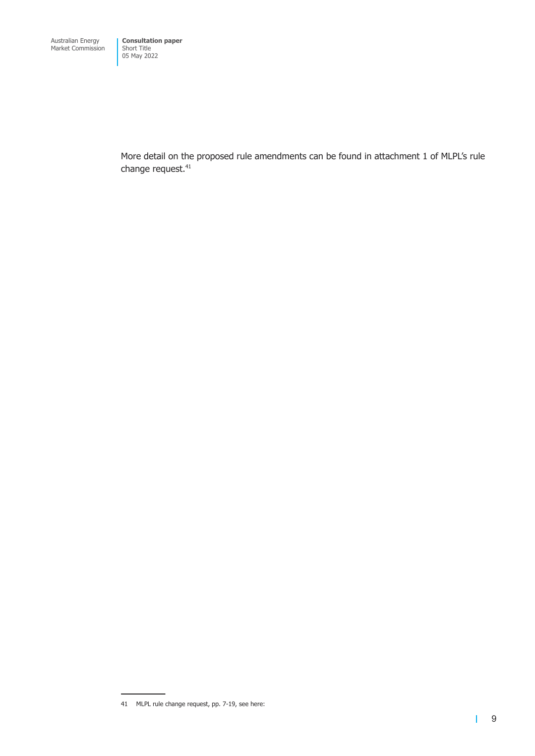More detail on the proposed rule amendments can be found in attachment 1 of MLPL's rule change request.<sup>41</sup>

<sup>41</sup> MLPL rule change request, pp. 7-19, see here: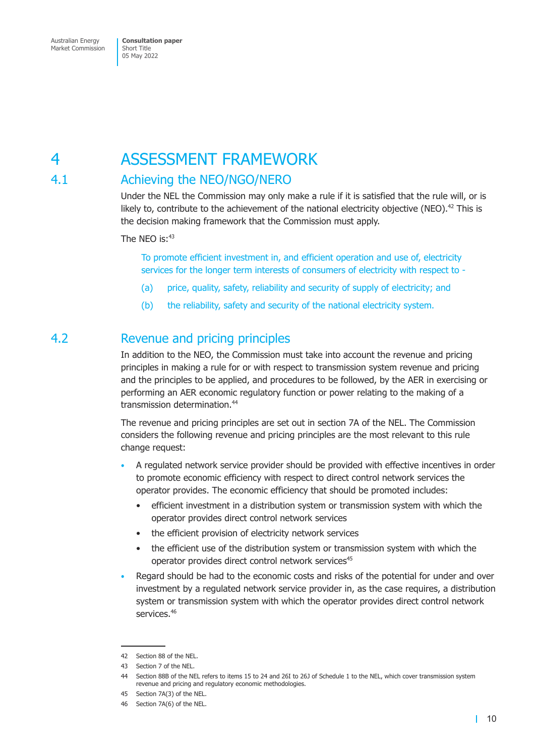# <span id="page-12-0"></span>4 ASSESSMENT FRAMEWORK

## 4.1 Achieving the NEO/NGO/NERO

Under the NEL the Commission may only make a rule if it is satisfied that the rule will, or is likely to, contribute to the achievement of the national electricity objective (NEO).<sup>42</sup> This is the decision making framework that the Commission must apply.

The NEO is: $43$ 

To promote efficient investment in, and efficient operation and use of, electricity services for the longer term interests of consumers of electricity with respect to -

- (a) price, quality, safety, reliability and security of supply of electricity; and
- (b) the reliability, safety and security of the national electricity system.

#### 4.2 Revenue and pricing principles

In addition to the NEO, the Commission must take into account the revenue and pricing principles in making a rule for or with respect to transmission system revenue and pricing and the principles to be applied, and procedures to be followed, by the AER in exercising or performing an AER economic regulatory function or power relating to the making of a transmission determination.44

The revenue and pricing principles are set out in section 7A of the NEL. The Commission considers the following revenue and pricing principles are the most relevant to this rule change request:

- A regulated network service provider should be provided with effective incentives in order to promote economic efficiency with respect to direct control network services the operator provides. The economic efficiency that should be promoted includes:
	- efficient investment in a distribution system or transmission system with which the operator provides direct control network services
	- the efficient provision of electricity network services
	- the efficient use of the distribution system or transmission system with which the operator provides direct control network services<sup>45</sup>
- Regard should be had to the economic costs and risks of the potential for under and over investment by a regulated network service provider in, as the case requires, a distribution system or transmission system with which the operator provides direct control network services.<sup>46</sup>

<sup>42</sup> Section 88 of the NEL.

<sup>43</sup> Section 7 of the NEL.

<sup>44</sup> Section 88B of the NEL refers to items 15 to 24 and 26I to 26J of Schedule 1 to the NEL, which cover transmission system revenue and pricing and regulatory economic methodologies.

<sup>45</sup> Section 7A(3) of the NEL.

<sup>46</sup> Section 7A(6) of the NEL.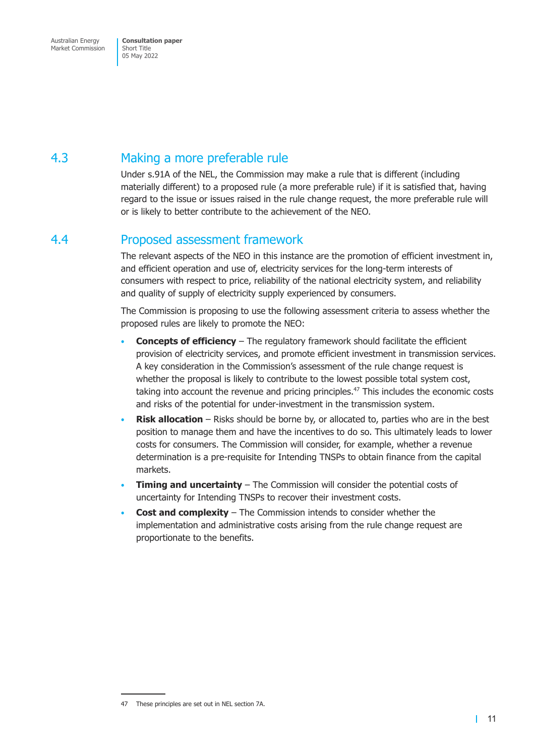## <span id="page-13-0"></span>4.3 Making a more preferable rule

Under s.91A of the NEL, the Commission may make a rule that is different (including materially different) to a proposed rule (a more preferable rule) if it is satisfied that, having regard to the issue or issues raised in the rule change request, the more preferable rule will or is likely to better contribute to the achievement of the NEO.

#### 4.4 Proposed assessment framework

The relevant aspects of the NEO in this instance are the promotion of efficient investment in, and efficient operation and use of, electricity services for the long-term interests of consumers with respect to price, reliability of the national electricity system, and reliability and quality of supply of electricity supply experienced by consumers.

The Commission is proposing to use the following assessment criteria to assess whether the proposed rules are likely to promote the NEO:

- **Concepts of efficiency** The regulatory framework should facilitate the efficient provision of electricity services, and promote efficient investment in transmission services. A key consideration in the Commission's assessment of the rule change request is whether the proposal is likely to contribute to the lowest possible total system cost, taking into account the revenue and pricing principles.<sup>47</sup> This includes the economic costs and risks of the potential for under-investment in the transmission system.
- **Risk allocation** Risks should be borne by, or allocated to, parties who are in the best position to manage them and have the incentives to do so. This ultimately leads to lower costs for consumers. The Commission will consider, for example, whether a revenue determination is a pre-requisite for Intending TNSPs to obtain finance from the capital markets.
- **Timing and uncertainty** The Commission will consider the potential costs of uncertainty for Intending TNSPs to recover their investment costs.
- **Cost and complexity** The Commission intends to consider whether the implementation and administrative costs arising from the rule change request are proportionate to the benefits.

<sup>47</sup> These principles are set out in NEL section 7A.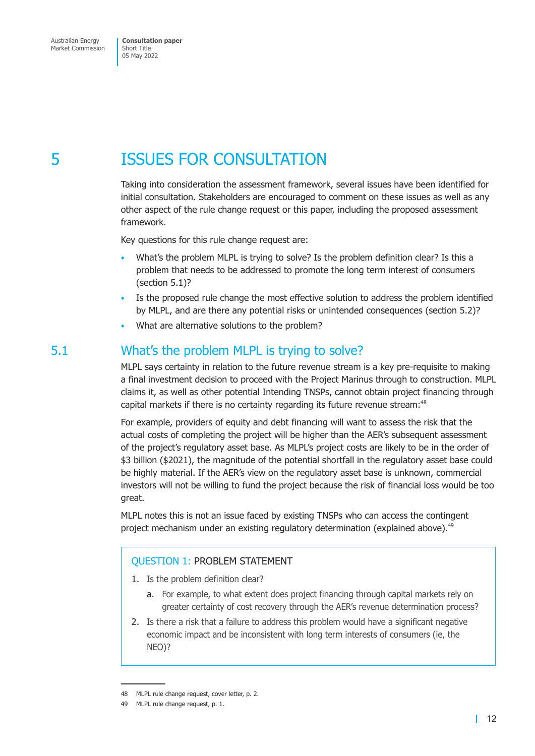# <span id="page-14-0"></span>5 ISSUES FOR CONSULTATION

Taking into consideration the assessment framework, several issues have been identified for initial consultation. Stakeholders are encouraged to comment on these issues as well as any other aspect of the rule change request or this paper, including the proposed assessment framework.

Key questions for this rule change request are:

- What's the problem MLPL is trying to solve? Is the problem definition clear? Is this a problem that needs to be addressed to promote the long term interest of consumers (section 5.1)?
- Is the proposed rule change the most effective solution to address the problem identified by MLPL, and are there any potential risks or unintended consequences (section 5.2)?
- What are alternative solutions to the problem?

#### 5.1 What's the problem MLPL is trying to solve?

MLPL says certainty in relation to the future revenue stream is a key pre-requisite to making a final investment decision to proceed with the Project Marinus through to construction. MLPL claims it, as well as other potential Intending TNSPs, cannot obtain project financing through capital markets if there is no certainty regarding its future revenue stream:<sup>48</sup>

For example, providers of equity and debt financing will want to assess the risk that the actual costs of completing the project will be higher than the AER's subsequent assessment of the project's regulatory asset base. As MLPL's project costs are likely to be in the order of \$3 billion (\$2021), the magnitude of the potential shortfall in the regulatory asset base could be highly material. If the AER's view on the regulatory asset base is unknown, commercial investors will not be willing to fund the project because the risk of financial loss would be too great.

MLPL notes this is not an issue faced by existing TNSPs who can access the contingent project mechanism under an existing regulatory determination (explained above).<sup>49</sup>

#### QUESTION 1: PROBLEM STATEMENT

- 1. Is the problem definition clear?
	- a. For example, to what extent does project financing through capital markets rely on greater certainty of cost recovery through the AER's revenue determination process?
- 2. Is there a risk that a failure to address this problem would have a significant negative economic impact and be inconsistent with long term interests of consumers (ie, the NEO)?

<sup>48</sup> MLPL rule change request, cover letter, p. 2.

<sup>49</sup> MLPL rule change request, p. 1.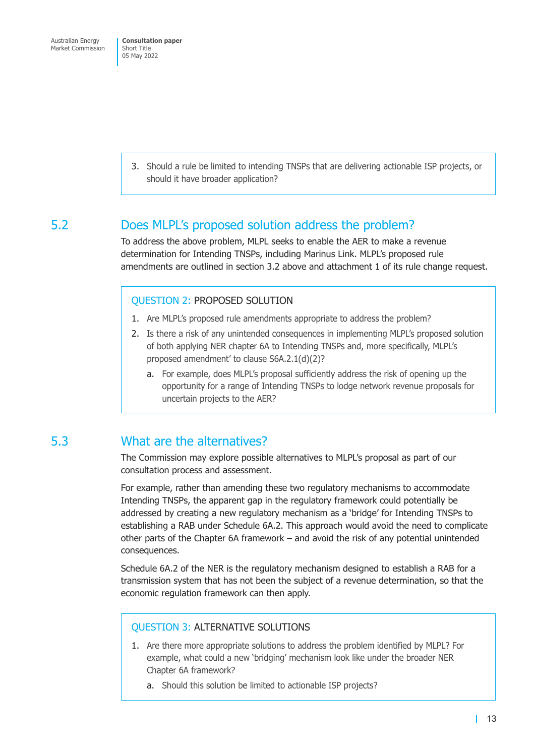<span id="page-15-0"></span>3. Should a rule be limited to intending TNSPs that are delivering actionable ISP projects, or should it have broader application?

#### 5.2 Does MLPL's proposed solution address the problem?

To address the above problem, MLPL seeks to enable the AER to make a revenue determination for Intending TNSPs, including Marinus Link. MLPL's proposed rule amendments are outlined in section 3.2 above and attachment 1 of its rule change request.

#### QUESTION 2: PROPOSED SOLUTION

- 1. Are MLPL's proposed ru[le amendme](#page-9-1)nts appropriate to address the problem?
- 2. Is there a risk of any unintended consequences in implementing MLPL's proposed solution of both applying NER chapter 6A to Intending TNSPs and, more specifically, MLPL's proposed amendment' to clause S6A.2.1(d)(2)?
	- a. For example, does MLPL's proposal sufficiently address the risk of opening up the opportunity for a range of Intending TNSPs to lodge network revenue proposals for uncertain projects to the AER?

## 5.3 What are the alternatives?

The Commission may explore possible alternatives to MLPL's proposal as part of our consultation process and assessment.

For example, rather than amending these two regulatory mechanisms to accommodate Intending TNSPs, the apparent gap in the regulatory framework could potentially be addressed by creating a new regulatory mechanism as a 'bridge' for Intending TNSPs to establishing a RAB under Schedule 6A.2. This approach would avoid the need to complicate other parts of the Chapter 6A framework – and avoid the risk of any potential unintended consequences.

Schedule 6A.2 of the NER is the regulatory mechanism designed to establish a RAB for a transmission system that has not been the subject of a revenue determination, so that the economic regulation framework can then apply.

#### QUESTION 3: ALTERNATIVE SOLUTIONS

- 1. Are there more appropriate solutions to address the problem identified by MLPL? For example, what could a new 'bridging' mechanism look like under the broader NER Chapter 6A framework?
	- a. Should this solution be limited to actionable ISP projects?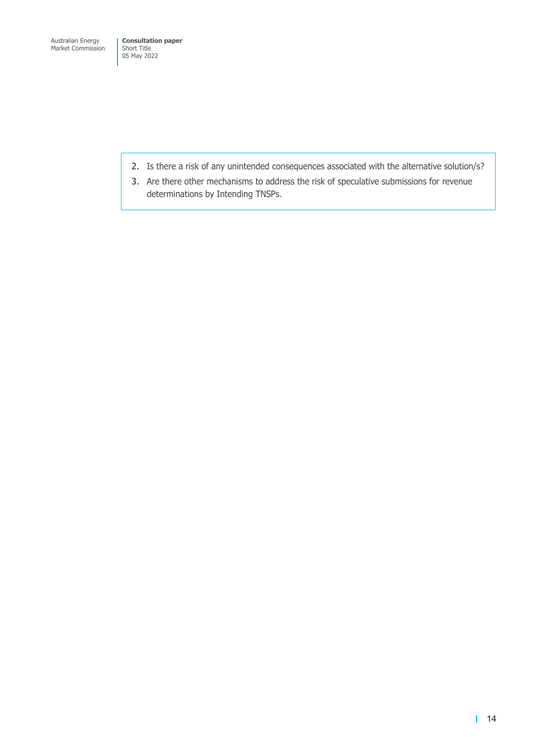- 2. Is there a risk of any unintended consequences associated with the alternative solution/s?
- 3. Are there other mechanisms to address the risk of speculative submissions for revenue determinations by Intending TNSPs.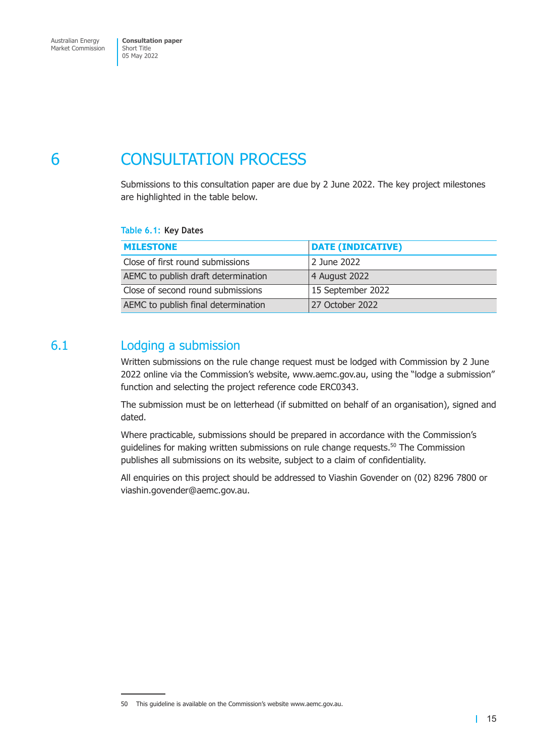# <span id="page-17-0"></span>6 CONSULTATION PROCESS

Submissions to this consultation paper are due by 2 June 2022. The key project milestones are highlighted in the table below.

**Table 6.1: Key Dates** 

| <b>MILESTONE</b>                    | <b>DATE (INDICATIVE)</b> |
|-------------------------------------|--------------------------|
| Close of first round submissions    | 2 June 2022              |
| AEMC to publish draft determination | 4 August 2022            |
| Close of second round submissions   | 15 September 2022        |
| AEMC to publish final determination | 27 October 2022          |

## 6.1 Lodging a submission

Written submissions on the rule change request must be lodged with Commission by 2 June 2022 online via the Commission's website, www.aemc.gov.au, using the "lodge a submission" function and selecting the project reference code ERC0343.

The submission must be on letterhead (if submitted on behalf of an organisation), signed and dated.

Where practicable, submissions should be prepared in accordance with the Commission's quidelines for making written submissions on rule change requests. $50$  The Commission publishes all submissions on its website, subject to a claim of confidentiality.

All enquiries on this project should be addressed to Viashin Govender on (02) 8296 7800 or viashin.govender@aemc.gov.au.

<sup>50</sup> This guideline is available on the Commission's website www.aemc.gov.au.